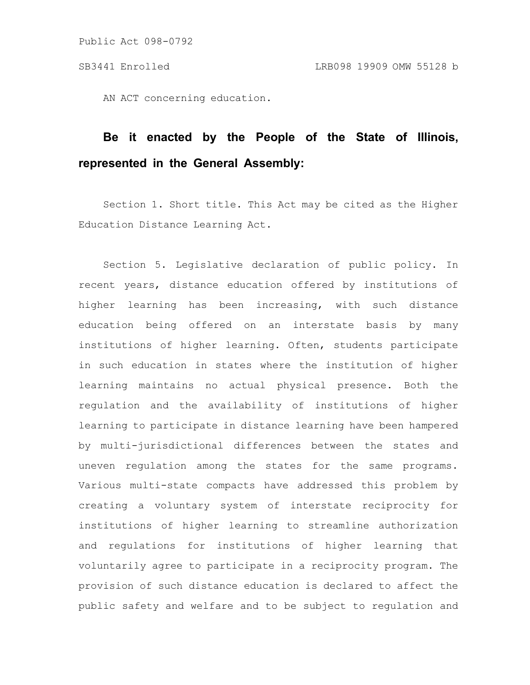AN ACT concerning education.

# **Be it enacted by the People of the State of Illinois, represented in the General Assembly:**

Section 1. Short title. This Act may be cited as the Higher Education Distance Learning Act.

Section 5. Legislative declaration of public policy. In recent years, distance education offered by institutions of higher learning has been increasing, with such distance education being offered on an interstate basis by many institutions of higher learning. Often, students participate in such education in states where the institution of higher learning maintains no actual physical presence. Both the regulation and the availability of institutions of higher learning to participate in distance learning have been hampered by multi-jurisdictional differences between the states and uneven regulation among the states for the same programs. Various multi-state compacts have addressed this problem by creating a voluntary system of interstate reciprocity for institutions of higher learning to streamline authorization and regulations for institutions of higher learning that voluntarily agree to participate in a reciprocity program. The provision of such distance education is declared to affect the public safety and welfare and to be subject to regulation and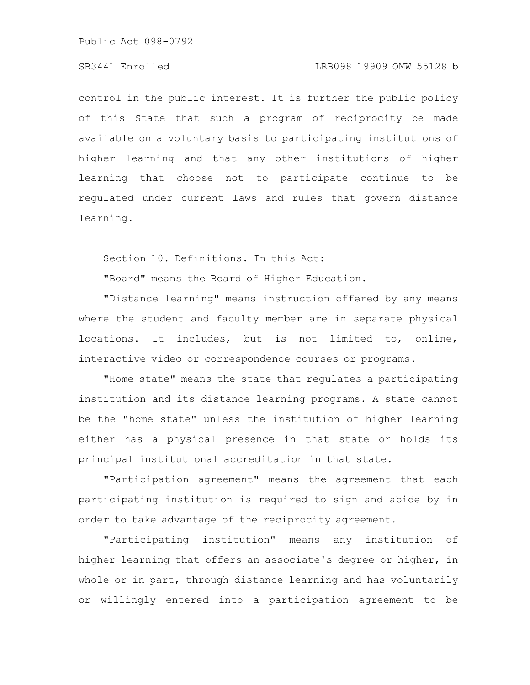Public Act 098-0792

## SB3441 Enrolled LRB098 19909 OMW 55128 b

control in the public interest. It is further the public policy of this State that such a program of reciprocity be made available on a voluntary basis to participating institutions of higher learning and that any other institutions of higher learning that choose not to participate continue to be regulated under current laws and rules that govern distance learning.

Section 10. Definitions. In this Act:

"Board" means the Board of Higher Education.

"Distance learning" means instruction offered by any means where the student and faculty member are in separate physical locations. It includes, but is not limited to, online, interactive video or correspondence courses or programs.

"Home state" means the state that regulates a participating institution and its distance learning programs. A state cannot be the "home state" unless the institution of higher learning either has a physical presence in that state or holds its principal institutional accreditation in that state.

"Participation agreement" means the agreement that each participating institution is required to sign and abide by in order to take advantage of the reciprocity agreement.

"Participating institution" means any institution of higher learning that offers an associate's degree or higher, in whole or in part, through distance learning and has voluntarily or willingly entered into a participation agreement to be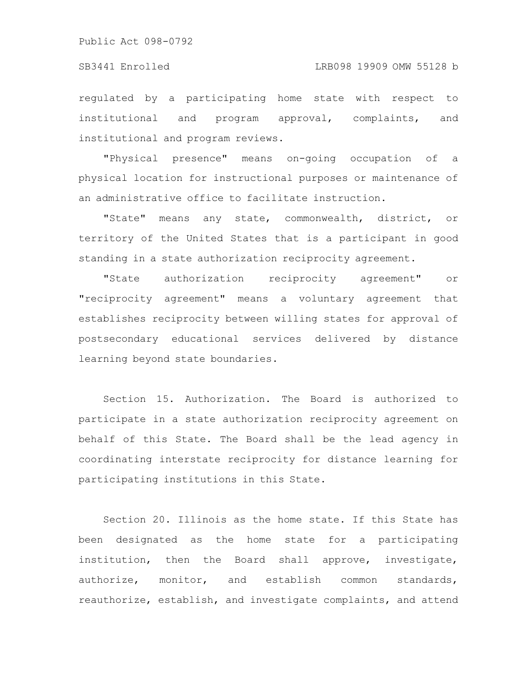#### SB3441 Enrolled LRB098 19909 OMW 55128 b

regulated by a participating home state with respect to institutional and program approval, complaints, and institutional and program reviews.

"Physical presence" means on-going occupation of a physical location for instructional purposes or maintenance of an administrative office to facilitate instruction.

"State" means any state, commonwealth, district, or territory of the United States that is a participant in good standing in a state authorization reciprocity agreement.

"State authorization reciprocity agreement" or "reciprocity agreement" means a voluntary agreement that establishes reciprocity between willing states for approval of postsecondary educational services delivered by distance learning beyond state boundaries.

Section 15. Authorization. The Board is authorized to participate in a state authorization reciprocity agreement on behalf of this State. The Board shall be the lead agency in coordinating interstate reciprocity for distance learning for participating institutions in this State.

Section 20. Illinois as the home state. If this State has been designated as the home state for a participating institution, then the Board shall approve, investigate, authorize, monitor, and establish common standards, reauthorize, establish, and investigate complaints, and attend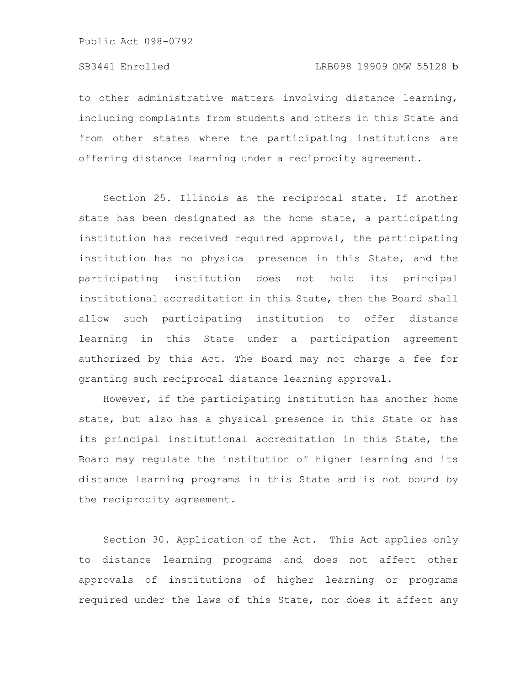to other administrative matters involving distance learning, including complaints from students and others in this State and from other states where the participating institutions are offering distance learning under a reciprocity agreement.

Section 25. Illinois as the reciprocal state. If another state has been designated as the home state, a participating institution has received required approval, the participating institution has no physical presence in this State, and the participating institution does not hold its principal institutional accreditation in this State, then the Board shall allow such participating institution to offer distance learning in this State under a participation agreement authorized by this Act. The Board may not charge a fee for granting such reciprocal distance learning approval.

However, if the participating institution has another home state, but also has a physical presence in this State or has its principal institutional accreditation in this State, the Board may regulate the institution of higher learning and its distance learning programs in this State and is not bound by the reciprocity agreement.

Section 30. Application of the Act. This Act applies only to distance learning programs and does not affect other approvals of institutions of higher learning or programs required under the laws of this State, nor does it affect any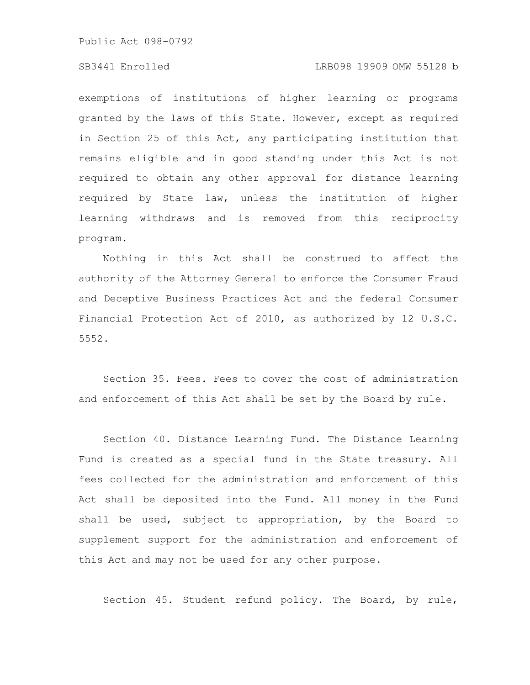Public Act 098-0792

#### SB3441 Enrolled LRB098 19909 OMW 55128 b

exemptions of institutions of higher learning or programs granted by the laws of this State. However, except as required in Section 25 of this Act, any participating institution that remains eligible and in good standing under this Act is not required to obtain any other approval for distance learning required by State law, unless the institution of higher learning withdraws and is removed from this reciprocity program.

Nothing in this Act shall be construed to affect the authority of the Attorney General to enforce the Consumer Fraud and Deceptive Business Practices Act and the federal Consumer Financial Protection Act of 2010, as authorized by 12 U.S.C. 5552.

Section 35. Fees. Fees to cover the cost of administration and enforcement of this Act shall be set by the Board by rule.

Section 40. Distance Learning Fund. The Distance Learning Fund is created as a special fund in the State treasury. All fees collected for the administration and enforcement of this Act shall be deposited into the Fund. All money in the Fund shall be used, subject to appropriation, by the Board to supplement support for the administration and enforcement of this Act and may not be used for any other purpose.

Section 45. Student refund policy. The Board, by rule,